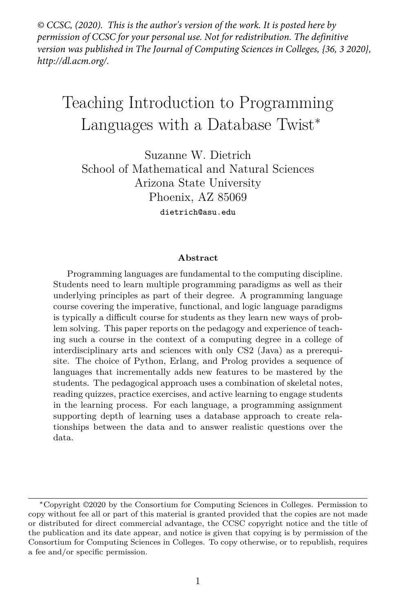*© CCSC, (2020). This is the author's version of the work. It is posted here by permission of CCSC for your personal use. Not for redistribution. The definitive version was published in The Journal of Computing Sciences in Colleges, {36, 3 2020}, http://dl.acm.org/.*

# Teaching Introduction to Programming Languages with a Database Twist<sup>∗</sup>

Suzanne W. Dietrich School of Mathematical and Natural Sciences Arizona State University Phoenix, AZ 85069 dietrich@asu.edu

#### **Abstract**

Programming languages are fundamental to the computing discipline. Students need to learn multiple programming paradigms as well as their underlying principles as part of their degree. A programming language course covering the imperative, functional, and logic language paradigms is typically a difficult course for students as they learn new ways of problem solving. This paper reports on the pedagogy and experience of teaching such a course in the context of a computing degree in a college of interdisciplinary arts and sciences with only CS2 (Java) as a prerequisite. The choice of Python, Erlang, and Prolog provides a sequence of languages that incrementally adds new features to be mastered by the students. The pedagogical approach uses a combination of skeletal notes, reading quizzes, practice exercises, and active learning to engage students in the learning process. For each language, a programming assignment supporting depth of learning uses a database approach to create relationships between the data and to answer realistic questions over the data.

<sup>∗</sup>Copyright ©2020 by the Consortium for Computing Sciences in Colleges. Permission to copy without fee all or part of this material is granted provided that the copies are not made or distributed for direct commercial advantage, the CCSC copyright notice and the title of the publication and its date appear, and notice is given that copying is by permission of the Consortium for Computing Sciences in Colleges. To copy otherwise, or to republish, requires a fee and/or specific permission.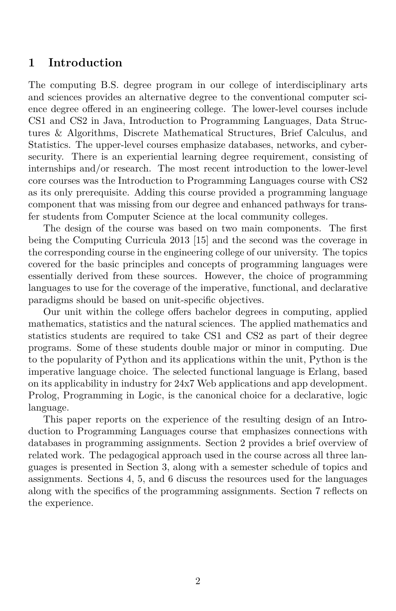### **1 Introduction**

The computing B.S. degree program in our college of interdisciplinary arts and sciences provides an alternative degree to the conventional computer science degree offered in an engineering college. The lower-level courses include CS1 and CS2 in Java, Introduction to Programming Languages, Data Structures & Algorithms, Discrete Mathematical Structures, Brief Calculus, and Statistics. The upper-level courses emphasize databases, networks, and cybersecurity. There is an experiential learning degree requirement, consisting of internships and/or research. The most recent introduction to the lower-level core courses was the Introduction to Programming Languages course with CS2 as its only prerequisite. Adding this course provided a programming language component that was missing from our degree and enhanced pathways for transfer students from Computer Science at the local community colleges.

The design of the course was based on two main components. The first being the Computing Curricula 2013 [15] and the second was the coverage in the corresponding course in the engineering college of our university. The topics covered for the basic principles and concepts of programming languages were essentially derived from these sources. However, the choice of programming languages to use for the coverage of the imperative, functional, and declarative paradigms should be based on unit-specific objectives.

Our unit within the college offers bachelor degrees in computing, applied mathematics, statistics and the natural sciences. The applied mathematics and statistics students are required to take CS1 and CS2 as part of their degree programs. Some of these students double major or minor in computing. Due to the popularity of Python and its applications within the unit, Python is the imperative language choice. The selected functional language is Erlang, based on its applicability in industry for 24x7 Web applications and app development. Prolog, Programming in Logic, is the canonical choice for a declarative, logic language.

This paper reports on the experience of the resulting design of an Introduction to Programming Languages course that emphasizes connections with databases in programming assignments. Section 2 provides a brief overview of related work. The pedagogical approach used in the course across all three languages is presented in Section 3, along with a semester schedule of topics and assignments. Sections 4, 5, and 6 discuss the resources used for the languages along with the specifics of the programming assignments. Section 7 reflects on the experience.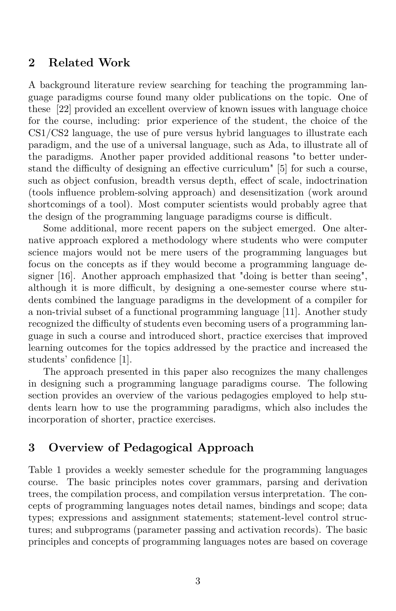#### **2 Related Work**

A background literature review searching for teaching the programming language paradigms course found many older publications on the topic. One of these [22] provided an excellent overview of known issues with language choice for the course, including: prior experience of the student, the choice of the CS1/CS2 language, the use of pure versus hybrid languages to illustrate each paradigm, and the use of a universal language, such as Ada, to illustrate all of the paradigms. Another paper provided additional reasons "to better understand the difficulty of designing an effective curriculum" [5] for such a course, such as object confusion, breadth versus depth, effect of scale, indoctrination (tools influence problem-solving approach) and desensitization (work around shortcomings of a tool). Most computer scientists would probably agree that the design of the programming language paradigms course is difficult.

Some additional, more recent papers on the subject emerged. One alternative approach explored a methodology where students who were computer science majors would not be mere users of the programming languages but focus on the concepts as if they would become a programming language designer [16]. Another approach emphasized that "doing is better than seeing", although it is more difficult, by designing a one-semester course where students combined the language paradigms in the development of a compiler for a non-trivial subset of a functional programming language [11]. Another study recognized the difficulty of students even becoming users of a programming language in such a course and introduced short, practice exercises that improved learning outcomes for the topics addressed by the practice and increased the students' confidence [1].

The approach presented in this paper also recognizes the many challenges in designing such a programming language paradigms course. The following section provides an overview of the various pedagogies employed to help students learn how to use the programming paradigms, which also includes the incorporation of shorter, practice exercises.

# **3 Overview of Pedagogical Approach**

Table 1 provides a weekly semester schedule for the programming languages course. The basic principles notes cover grammars, parsing and derivation trees, the compilation process, and compilation versus interpretation. The concepts of programming languages notes detail names, bindings and scope; data types; expressions and assignment statements; statement-level control structures; and subprograms (parameter passing and activation records). The basic principles and concepts of programming languages notes are based on coverage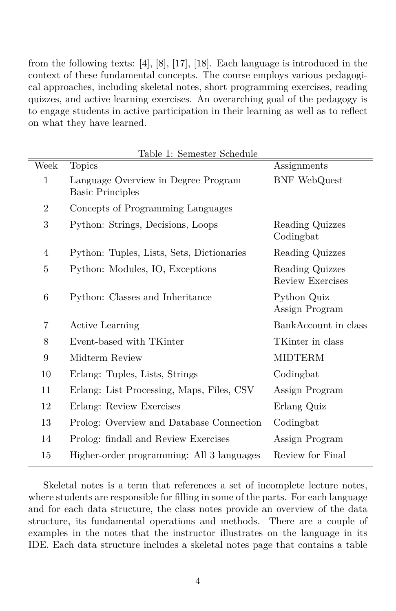from the following texts: [4], [8], [17], [18]. Each language is introduced in the context of these fundamental concepts. The course employs various pedagogical approaches, including skeletal notes, short programming exercises, reading quizzes, and active learning exercises. An overarching goal of the pedagogy is to engage students in active participation in their learning as well as to reflect on what they have learned.

| Week           | <b>Topics</b>                                                  | Assignments                         |
|----------------|----------------------------------------------------------------|-------------------------------------|
| 1              | Language Overview in Degree Program<br><b>Basic Principles</b> | <b>BNF</b> WebQuest                 |
| $\overline{2}$ | Concepts of Programming Languages                              |                                     |
| 3              | Python: Strings, Decisions, Loops                              | Reading Quizzes<br>Codingbat        |
| 4              | Python: Tuples, Lists, Sets, Dictionaries                      | Reading Quizzes                     |
| 5              | Python: Modules, IO, Exceptions                                | Reading Quizzes<br>Review Exercises |
| 6              | Python: Classes and Inheritance                                | Python Quiz<br>Assign Program       |
| 7              | <b>Active Learning</b>                                         | BankAccount in class                |
| 8              | Event-based with TKinter                                       | TKinter in class                    |
| 9              | Midterm Review                                                 | <b>MIDTERM</b>                      |
| 10             | Erlang: Tuples, Lists, Strings                                 | Codingbat                           |
| 11             | Erlang: List Processing, Maps, Files, CSV                      | Assign Program                      |
| 12             | Erlang: Review Exercises                                       | Erlang Quiz                         |
| 13             | Prolog: Overview and Database Connection                       | Codingbat                           |
| 14             | Prolog: findall and Review Exercises                           | Assign Program                      |
| 15             | Higher-order programming: All 3 languages                      | Review for Final                    |

Table 1: Semester Schedule

Skeletal notes is a term that references a set of incomplete lecture notes, where students are responsible for filling in some of the parts. For each language and for each data structure, the class notes provide an overview of the data structure, its fundamental operations and methods. There are a couple of examples in the notes that the instructor illustrates on the language in its IDE. Each data structure includes a skeletal notes page that contains a table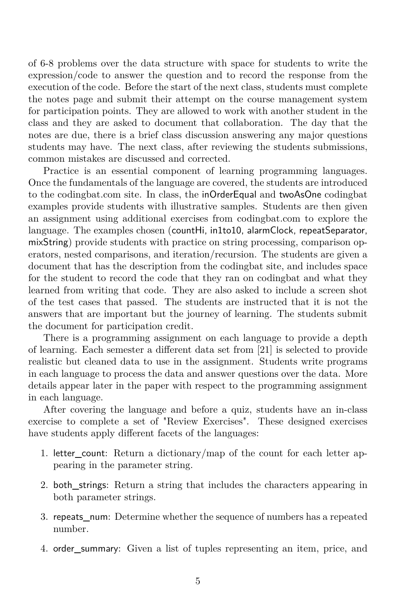of 6-8 problems over the data structure with space for students to write the expression/code to answer the question and to record the response from the execution of the code. Before the start of the next class, students must complete the notes page and submit their attempt on the course management system for participation points. They are allowed to work with another student in the class and they are asked to document that collaboration. The day that the notes are due, there is a brief class discussion answering any major questions students may have. The next class, after reviewing the students submissions, common mistakes are discussed and corrected.

Practice is an essential component of learning programming languages. Once the fundamentals of the language are covered, the students are introduced to the codingbat.com site. In class, the inOrderEqual and twoAsOne codingbat examples provide students with illustrative samples. Students are then given an assignment using additional exercises from codingbat.com to explore the language. The examples chosen (countHi, in1to10, alarmClock, repeatSeparator, mixString) provide students with practice on string processing, comparison operators, nested comparisons, and iteration/recursion. The students are given a document that has the description from the codingbat site, and includes space for the student to record the code that they ran on codingbat and what they learned from writing that code. They are also asked to include a screen shot of the test cases that passed. The students are instructed that it is not the answers that are important but the journey of learning. The students submit the document for participation credit.

There is a programming assignment on each language to provide a depth of learning. Each semester a different data set from [21] is selected to provide realistic but cleaned data to use in the assignment. Students write programs in each language to process the data and answer questions over the data. More details appear later in the paper with respect to the programming assignment in each language.

After covering the language and before a quiz, students have an in-class exercise to complete a set of "Review Exercises". These designed exercises have students apply different facets of the languages:

- 1. letter\_count: Return a dictionary/map of the count for each letter appearing in the parameter string.
- 2. both\_strings: Return a string that includes the characters appearing in both parameter strings.
- 3. repeats\_num: Determine whether the sequence of numbers has a repeated number.
- 4. order\_summary: Given a list of tuples representing an item, price, and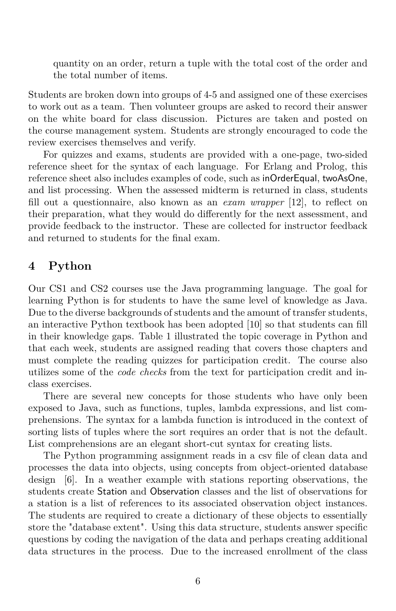quantity on an order, return a tuple with the total cost of the order and the total number of items.

Students are broken down into groups of 4-5 and assigned one of these exercises to work out as a team. Then volunteer groups are asked to record their answer on the white board for class discussion. Pictures are taken and posted on the course management system. Students are strongly encouraged to code the review exercises themselves and verify.

For quizzes and exams, students are provided with a one-page, two-sided reference sheet for the syntax of each language. For Erlang and Prolog, this reference sheet also includes examples of code, such as inOrderEqual, twoAsOne, and list processing. When the assessed midterm is returned in class, students fill out a questionnaire, also known as an *exam wrapper* [12], to reflect on their preparation, what they would do differently for the next assessment, and provide feedback to the instructor. These are collected for instructor feedback and returned to students for the final exam.

#### **4 Python**

Our CS1 and CS2 courses use the Java programming language. The goal for learning Python is for students to have the same level of knowledge as Java. Due to the diverse backgrounds of students and the amount of transfer students, an interactive Python textbook has been adopted [10] so that students can fill in their knowledge gaps. Table 1 illustrated the topic coverage in Python and that each week, students are assigned reading that covers those chapters and must complete the reading quizzes for participation credit. The course also utilizes some of the *code checks* from the text for participation credit and inclass exercises.

There are several new concepts for those students who have only been exposed to Java, such as functions, tuples, lambda expressions, and list comprehensions. The syntax for a lambda function is introduced in the context of sorting lists of tuples where the sort requires an order that is not the default. List comprehensions are an elegant short-cut syntax for creating lists.

The Python programming assignment reads in a csv file of clean data and processes the data into objects, using concepts from object-oriented database design [6]. In a weather example with stations reporting observations, the students create Station and Observation classes and the list of observations for a station is a list of references to its associated observation object instances. The students are required to create a dictionary of these objects to essentially store the "database extent". Using this data structure, students answer specific questions by coding the navigation of the data and perhaps creating additional data structures in the process. Due to the increased enrollment of the class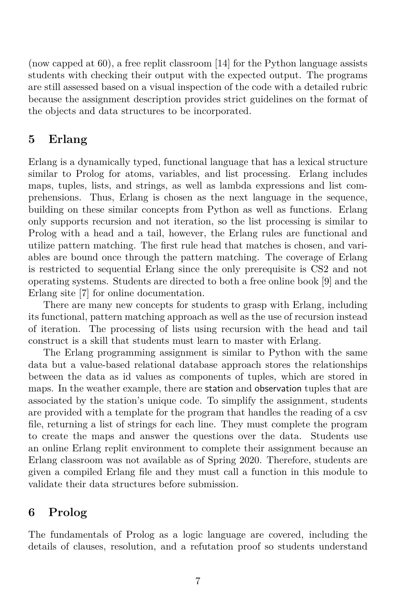(now capped at 60), a free replit classroom [14] for the Python language assists students with checking their output with the expected output. The programs are still assessed based on a visual inspection of the code with a detailed rubric because the assignment description provides strict guidelines on the format of the objects and data structures to be incorporated.

# **5 Erlang**

Erlang is a dynamically typed, functional language that has a lexical structure similar to Prolog for atoms, variables, and list processing. Erlang includes maps, tuples, lists, and strings, as well as lambda expressions and list comprehensions. Thus, Erlang is chosen as the next language in the sequence, building on these similar concepts from Python as well as functions. Erlang only supports recursion and not iteration, so the list processing is similar to Prolog with a head and a tail, however, the Erlang rules are functional and utilize pattern matching. The first rule head that matches is chosen, and variables are bound once through the pattern matching. The coverage of Erlang is restricted to sequential Erlang since the only prerequisite is CS2 and not operating systems. Students are directed to both a free online book [9] and the Erlang site [7] for online documentation.

There are many new concepts for students to grasp with Erlang, including its functional, pattern matching approach as well as the use of recursion instead of iteration. The processing of lists using recursion with the head and tail construct is a skill that students must learn to master with Erlang.

The Erlang programming assignment is similar to Python with the same data but a value-based relational database approach stores the relationships between the data as id values as components of tuples, which are stored in maps. In the weather example, there are station and observation tuples that are associated by the station's unique code. To simplify the assignment, students are provided with a template for the program that handles the reading of a csv file, returning a list of strings for each line. They must complete the program to create the maps and answer the questions over the data. Students use an online Erlang replit environment to complete their assignment because an Erlang classroom was not available as of Spring 2020. Therefore, students are given a compiled Erlang file and they must call a function in this module to validate their data structures before submission.

# **6 Prolog**

The fundamentals of Prolog as a logic language are covered, including the details of clauses, resolution, and a refutation proof so students understand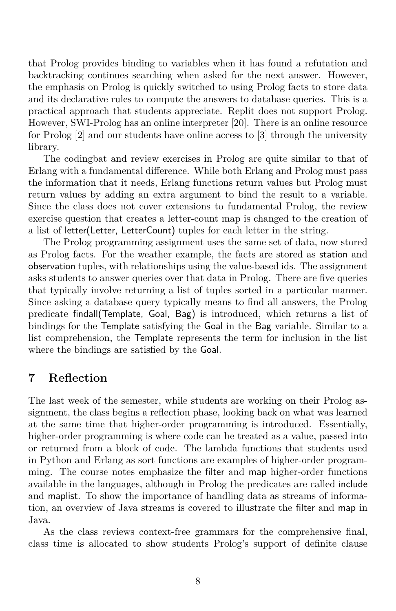that Prolog provides binding to variables when it has found a refutation and backtracking continues searching when asked for the next answer. However, the emphasis on Prolog is quickly switched to using Prolog facts to store data and its declarative rules to compute the answers to database queries. This is a practical approach that students appreciate. Replit does not support Prolog. However, SWI-Prolog has an online interpreter [20]. There is an online resource for Prolog [2] and our students have online access to [3] through the university library.

The codingbat and review exercises in Prolog are quite similar to that of Erlang with a fundamental difference. While both Erlang and Prolog must pass the information that it needs, Erlang functions return values but Prolog must return values by adding an extra argument to bind the result to a variable. Since the class does not cover extensions to fundamental Prolog, the review exercise question that creates a letter-count map is changed to the creation of a list of letter(Letter, LetterCount) tuples for each letter in the string.

The Prolog programming assignment uses the same set of data, now stored as Prolog facts. For the weather example, the facts are stored as station and observation tuples, with relationships using the value-based ids. The assignment asks students to answer queries over that data in Prolog. There are five queries that typically involve returning a list of tuples sorted in a particular manner. Since asking a database query typically means to find all answers, the Prolog predicate findall(Template, Goal, Bag) is introduced, which returns a list of bindings for the Template satisfying the Goal in the Bag variable. Similar to a list comprehension, the Template represents the term for inclusion in the list where the bindings are satisfied by the Goal.

#### **7 Reflection**

The last week of the semester, while students are working on their Prolog assignment, the class begins a reflection phase, looking back on what was learned at the same time that higher-order programming is introduced. Essentially, higher-order programming is where code can be treated as a value, passed into or returned from a block of code. The lambda functions that students used in Python and Erlang as sort functions are examples of higher-order programming. The course notes emphasize the filter and map higher-order functions available in the languages, although in Prolog the predicates are called include and maplist. To show the importance of handling data as streams of information, an overview of Java streams is covered to illustrate the filter and map in Java.

As the class reviews context-free grammars for the comprehensive final, class time is allocated to show students Prolog's support of definite clause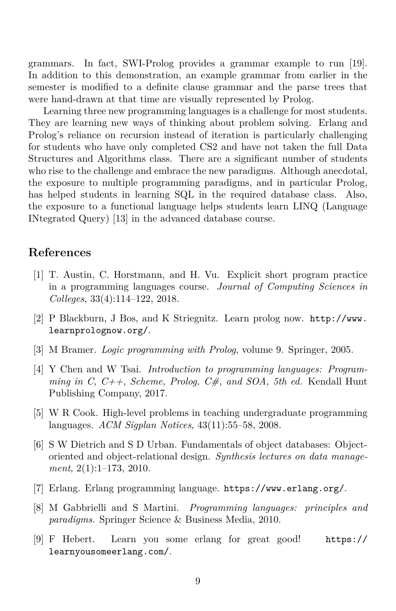grammars. In fact, SWI-Prolog provides a grammar example to run [19]. In addition to this demonstration, an example grammar from earlier in the semester is modified to a definite clause grammar and the parse trees that were hand-drawn at that time are visually represented by Prolog.

Learning three new programming languages is a challenge for most students. They are learning new ways of thinking about problem solving. Erlang and Prolog's reliance on recursion instead of iteration is particularly challenging for students who have only completed CS2 and have not taken the full Data Structures and Algorithms class. There are a significant number of students who rise to the challenge and embrace the new paradigms. Although anecdotal, the exposure to multiple programming paradigms, and in particular Prolog, has helped students in learning SQL in the required database class. Also, the exposure to a functional language helps students learn LINQ (Language INtegrated Query) [13] in the advanced database course.

## **References**

- [1] T. Austin, C. Horstmann, and H. Vu. Explicit short program practice in a programming languages course. *Journal of Computing Sciences in Colleges*, 33(4):114–122, 2018.
- [2] P Blackburn, J Bos, and K Striegnitz. Learn prolog now. http://www. learnprolognow.org/.
- [3] M Bramer. *Logic programming with Prolog*, volume 9. Springer, 2005.
- [4] Y Chen and W Tsai. *Introduction to programming languages: Programming in C, C++, Scheme, Prolog, C#, and SOA, 5th ed.* Kendall Hunt Publishing Company, 2017.
- [5] W R Cook. High-level problems in teaching undergraduate programming languages. *ACM Sigplan Notices*, 43(11):55–58, 2008.
- [6] S W Dietrich and S D Urban. Fundamentals of object databases: Objectoriented and object-relational design. *Synthesis lectures on data management*, 2(1):1–173, 2010.
- [7] Erlang. Erlang programming language. https://www.erlang.org/.
- [8] M Gabbrielli and S Martini. *Programming languages: principles and paradigms*. Springer Science & Business Media, 2010.
- [9] F Hebert. Learn you some erlang for great good! https:// learnyousomeerlang.com/.